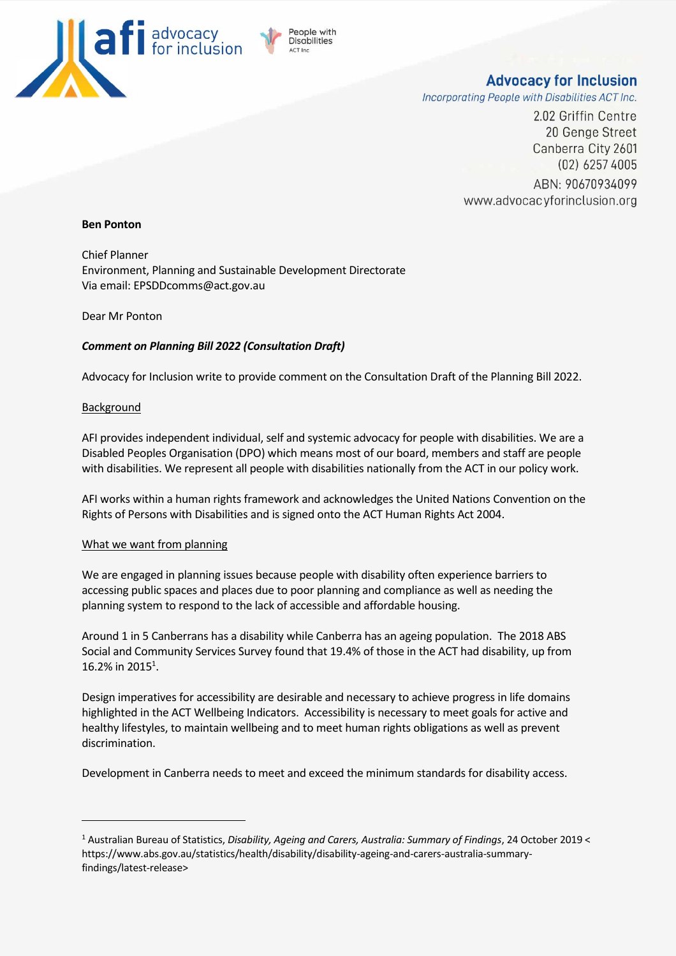

# **Advocacy for Inclusion**

Incorporating People with Disabilities ACT Inc.

2.02 Griffin Centre 20 Genge Street Canberra City 2601  $(02)$  6257 4005 ABN: 90670934099 www.advocacyforinclusion.org

#### **Ben Ponton**

Chief Planner Environment, Planning and Sustainable Development Directorate Via email: EPSDDcomms@act.gov.au

Dear Mr Ponton

## *Comment on Planning Bill 2022 (Consultation Draft)*

Advocacy for Inclusion write to provide comment on the Consultation Draft of the Planning Bill 2022.

eople with **Disabilities** 

### Background

AFI provides independent individual, self and systemic advocacy for people with disabilities. We are a Disabled Peoples Organisation (DPO) which means most of our board, members and staff are people with disabilities. We represent all people with disabilities nationally from the ACT in our policy work.

AFI works within a human rights framework and acknowledges the United Nations Convention on the Rights of Persons with Disabilities and is signed onto the ACT Human Rights Act 2004.

#### What we want from planning

We are engaged in planning issues because people with disability often experience barriers to accessing public spaces and places due to poor planning and compliance as well as needing the planning system to respond to the lack of accessible and affordable housing.

Around 1 in 5 Canberrans has a disability while Canberra has an ageing population. The 2018 ABS Social and Community Services Survey found that 19.4% of those in the ACT had disability, up from 16.2% in 2015<sup>1</sup>.

Design imperatives for accessibility are desirable and necessary to achieve progress in life domains highlighted in the ACT Wellbeing Indicators. Accessibility is necessary to meet goals for active and healthy lifestyles, to maintain wellbeing and to meet human rights obligations as well as prevent discrimination.

Development in Canberra needs to meet and exceed the minimum standards for disability access.

<sup>1</sup> Australian Bureau of Statistics, *Disability, Ageing and Carers, Australia: Summary of Findings*, 24 October 2019 < https://www.abs.gov.au/statistics/health/disability/disability-ageing-and-carers-australia-summaryfindings/latest-release>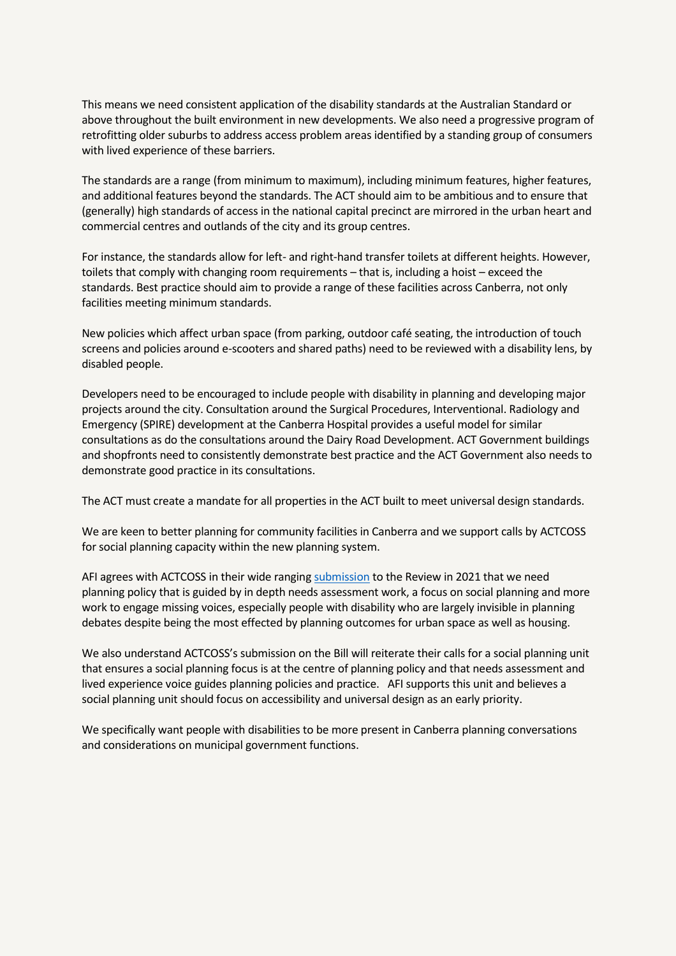This means we need consistent application of the disability standards at the Australian Standard or above throughout the built environment in new developments. We also need a progressive program of retrofitting older suburbs to address access problem areas identified by a standing group of consumers with lived experience of these barriers.

The standards are a range (from minimum to maximum), including minimum features, higher features, and additional features beyond the standards. The ACT should aim to be ambitious and to ensure that (generally) high standards of access in the national capital precinct are mirrored in the urban heart and commercial centres and outlands of the city and its group centres.

For instance, the standards allow for left- and right-hand transfer toilets at different heights. However, toilets that comply with changing room requirements – that is, including a hoist – exceed the standards. Best practice should aim to provide a range of these facilities across Canberra, not only facilities meeting minimum standards.

New policies which affect urban space (from parking, outdoor café seating, the introduction of touch screens and policies around e-scooters and shared paths) need to be reviewed with a disability lens, by disabled people.

Developers need to be encouraged to include people with disability in planning and developing major projects around the city. Consultation around the Surgical Procedures, Interventional. Radiology and Emergency (SPIRE) development at the Canberra Hospital provides a useful model for similar consultations as do the consultations around the Dairy Road Development. ACT Government buildings and shopfronts need to consistently demonstrate best practice and the ACT Government also needs to demonstrate good practice in its consultations.

The ACT must create a mandate for all properties in the ACT built to meet universal design standards.

We are keen to better planning for community facilities in Canberra and we support calls by ACTCOSS for social planning capacity within the new planning system.

AFI agrees with ACTCOSS in their wide rangin[g submission](https://www.actcoss.org.au/publications/advocacy-publications/submission-act-planning-review-social-planning-changing-canberra) to the Review in 2021 that we need planning policy that is guided by in depth needs assessment work, a focus on social planning and more work to engage missing voices, especially people with disability who are largely invisible in planning debates despite being the most effected by planning outcomes for urban space as well as housing.

We also understand ACTCOSS's submission on the Bill will reiterate their calls for a social planning unit that ensures a social planning focus is at the centre of planning policy and that needs assessment and lived experience voice guides planning policies and practice. AFI supports this unit and believes a social planning unit should focus on accessibility and universal design as an early priority.

We specifically want people with disabilities to be more present in Canberra planning conversations and considerations on municipal government functions.